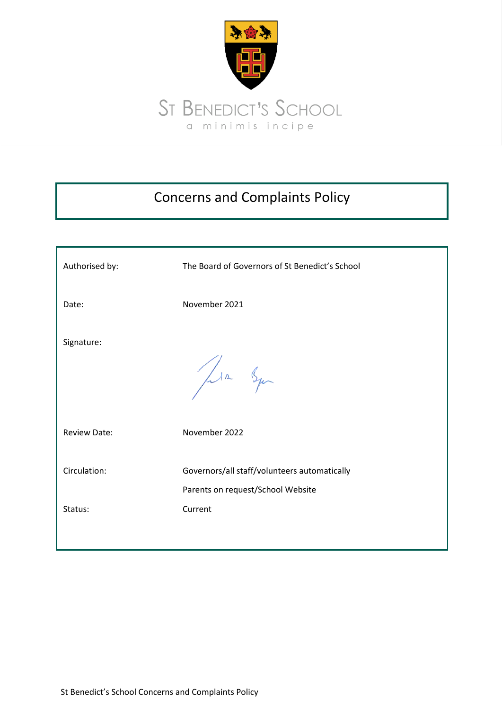

# Concerns and Complaints Policy

| Authorised by:      | The Board of Governors of St Benedict's School                                    |
|---------------------|-----------------------------------------------------------------------------------|
| Date:               | November 2021                                                                     |
| Signature:          | Jula Squ                                                                          |
| <b>Review Date:</b> | November 2022                                                                     |
| Circulation:        | Governors/all staff/volunteers automatically<br>Parents on request/School Website |
| Status:             | Current                                                                           |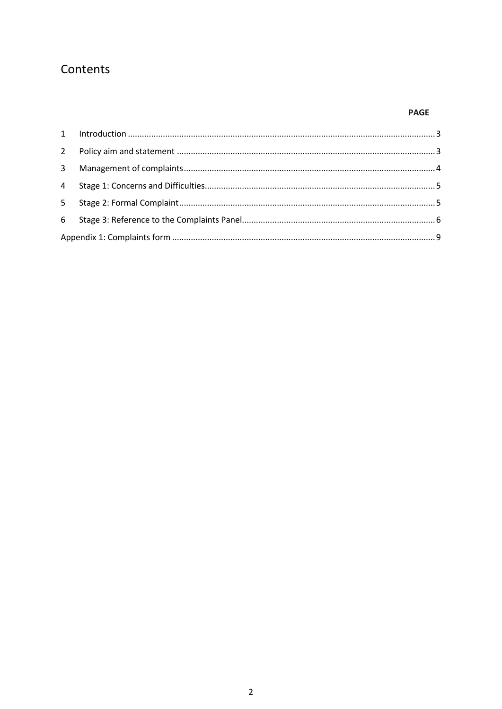# Contents

# **PAGE**

| 3 <sup>7</sup> |  |
|----------------|--|
|                |  |
|                |  |
|                |  |
|                |  |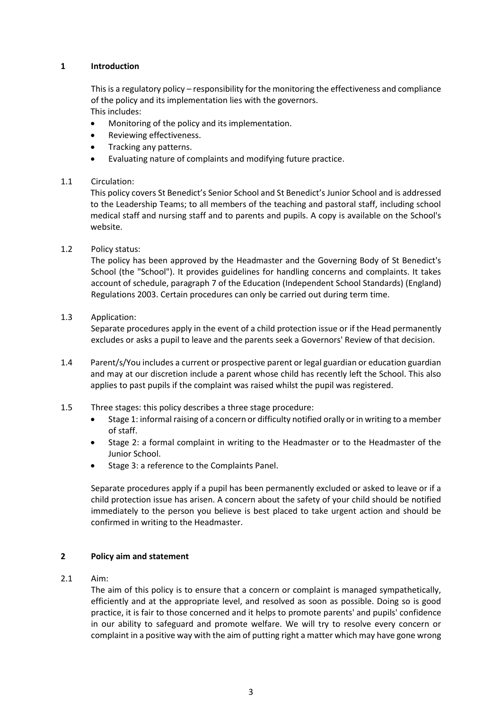# <span id="page-2-0"></span>**1 Introduction**

This is a regulatory policy – responsibility for the monitoring the effectiveness and compliance of the policy and its implementation lies with the governors. This includes:

- Monitoring of the policy and its implementation.
- Reviewing effectiveness.
- Tracking any patterns.
- Evaluating nature of complaints and modifying future practice.

# 1.1 Circulation:

This policy covers St Benedict's Senior School and St Benedict's Junior School and is addressed to the Leadership Teams; to all members of the teaching and pastoral staff, including school medical staff and nursing staff and to parents and pupils. A copy is available on the School's website.

# 1.2 Policy status:

The policy has been approved by the Headmaster and the Governing Body of St Benedict's School (the "School"). It provides guidelines for handling concerns and complaints. It takes account of schedule, paragraph 7 of the Education (Independent School Standards) (England) Regulations 2003. Certain procedures can only be carried out during term time.

# 1.3 Application:

Separate procedures apply in the event of a child protection issue or if the Head permanently excludes or asks a pupil to leave and the parents seek a Governors' Review of that decision.

- 1.4 Parent/s/You includes a current or prospective parent or legal guardian or education guardian and may at our discretion include a parent whose child has recently left the School. This also applies to past pupils if the complaint was raised whilst the pupil was registered.
- 1.5 Three stages: this policy describes a three stage procedure:
	- Stage 1: informal raising of a concern or difficulty notified orally or in writing to a member of staff.
	- Stage 2: a formal complaint in writing to the Headmaster or to the Headmaster of the Junior School.
	- Stage 3: a reference to the Complaints Panel.

Separate procedures apply if a pupil has been permanently excluded or asked to leave or if a child protection issue has arisen. A concern about the safety of your child should be notified immediately to the person you believe is best placed to take urgent action and should be confirmed in writing to the Headmaster.

# <span id="page-2-1"></span>**2 Policy aim and statement**

2.1 Aim:

The aim of this policy is to ensure that a concern or complaint is managed sympathetically, efficiently and at the appropriate level, and resolved as soon as possible. Doing so is good practice, it is fair to those concerned and it helps to promote parents' and pupils' confidence in our ability to safeguard and promote welfare. We will try to resolve every concern or complaint in a positive way with the aim of putting right a matter which may have gone wrong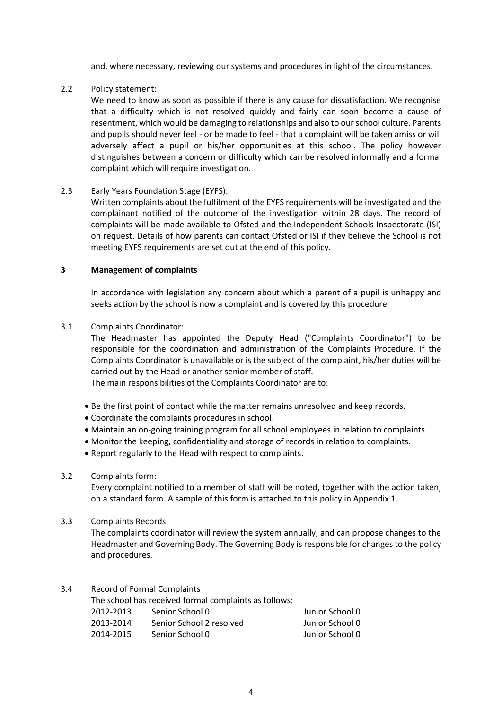and, where necessary, reviewing our systems and procedures in light of the circumstances.

# 2.2 Policy statement:

We need to know as soon as possible if there is any cause for dissatisfaction. We recognise that a difficulty which is not resolved quickly and fairly can soon become a cause of resentment, which would be damaging to relationships and also to our school culture. Parents and pupils should never feel - or be made to feel - that a complaint will be taken amiss or will adversely affect a pupil or his/her opportunities at this school. The policy however distinguishes between a concern or difficulty which can be resolved informally and a formal complaint which will require investigation.

# 2.3 Early Years Foundation Stage (EYFS):

Written complaints about the fulfilment of the EYFS requirements will be investigated and the complainant notified of the outcome of the investigation within 28 days. The record of complaints will be made available to Ofsted and the Independent Schools Inspectorate (ISI) on request. Details of how parents can contact Ofsted or ISI if they believe the School is not meeting EYFS requirements are set out at the end of this policy.

# <span id="page-3-0"></span>**3 Management of complaints**

In accordance with legislation any concern about which a parent of a pupil is unhappy and seeks action by the school is now a complaint and is covered by this procedure

# 3.1 Complaints Coordinator:

The Headmaster has appointed the Deputy Head ("Complaints Coordinator") to be responsible for the coordination and administration of the Complaints Procedure. If the Complaints Coordinator is unavailable or is the subject of the complaint, his/her duties will be carried out by the Head or another senior member of staff.

The main responsibilities of the Complaints Coordinator are to:

- Be the first point of contact while the matter remains unresolved and keep records.
- Coordinate the complaints procedures in school.
- Maintain an on-going training program for all school employees in relation to complaints.
- Monitor the keeping, confidentiality and storage of records in relation to complaints.
- Report regularly to the Head with respect to complaints.

# 3.2 Complaints form:

Every complaint notified to a member of staff will be noted, together with the action taken, on a standard form. A sample of this form is attached to this policy in Appendix 1.

3.3 Complaints Records:

The complaints coordinator will review the system annually, and can propose changes to the Headmaster and Governing Body. The Governing Body is responsible for changes to the policy and procedures.

# 3.4 Record of Formal Complaints

| The school has received formal complaints as follows: |                          |                 |  |  |
|-------------------------------------------------------|--------------------------|-----------------|--|--|
| 2012-2013                                             | Senior School 0          | Junior School 0 |  |  |
| 2013-2014                                             | Senior School 2 resolved | Junior School 0 |  |  |
| 2014-2015                                             | Senior School 0          | Junior School 0 |  |  |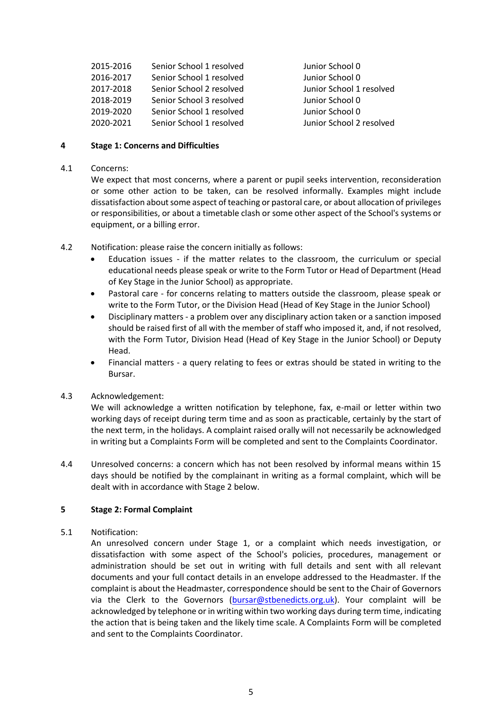| 2015-2016 | Senior School 1 resolved |
|-----------|--------------------------|
| 2016-2017 | Senior School 1 resolved |
| 2017-2018 | Senior School 2 resolved |
| 2018-2019 | Senior School 3 resolved |
| 2019-2020 | Senior School 1 resolved |
| 2020-2021 | Senior School 1 resolved |

Junior School 0 Junior School 0 2017-2018 Senior School 2 resolved Junior School 1 resolved Junior School 0 Junior School 0 Junior School 2 resolved

# <span id="page-4-0"></span>**4 Stage 1: Concerns and Difficulties**

# 4.1 Concerns:

We expect that most concerns, where a parent or pupil seeks intervention, reconsideration or some other action to be taken, can be resolved informally. Examples might include dissatisfaction about some aspect of teaching or pastoral care, or about allocation of privileges or responsibilities, or about a timetable clash or some other aspect of the School's systems or equipment, or a billing error.

- 4.2 Notification: please raise the concern initially as follows:
	- Education issues if the matter relates to the classroom, the curriculum or special educational needs please speak or write to the Form Tutor or Head of Department (Head of Key Stage in the Junior School) as appropriate.
	- Pastoral care for concerns relating to matters outside the classroom, please speak or write to the Form Tutor, or the Division Head (Head of Key Stage in the Junior School)
	- Disciplinary matters a problem over any disciplinary action taken or a sanction imposed should be raised first of all with the member of staff who imposed it, and, if not resolved, with the Form Tutor, Division Head (Head of Key Stage in the Junior School) or Deputy Head.
	- Financial matters a query relating to fees or extras should be stated in writing to the Bursar.

# 4.3 Acknowledgement:

We will acknowledge a written notification by telephone, fax, e-mail or letter within two working days of receipt during term time and as soon as practicable, certainly by the start of the next term, in the holidays. A complaint raised orally will not necessarily be acknowledged in writing but a Complaints Form will be completed and sent to the Complaints Coordinator.

4.4 Unresolved concerns: a concern which has not been resolved by informal means within 15 days should be notified by the complainant in writing as a formal complaint, which will be dealt with in accordance with Stage 2 below.

# <span id="page-4-1"></span>**5 Stage 2: Formal Complaint**

# 5.1 Notification:

An unresolved concern under Stage 1, or a complaint which needs investigation, or dissatisfaction with some aspect of the School's policies, procedures, management or administration should be set out in writing with full details and sent with all relevant documents and your full contact details in an envelope addressed to the Headmaster. If the complaint is about the Headmaster, correspondence should be sent to the Chair of Governors via the Clerk to the Governors [\(bursar@stbenedicts.org.uk\)](mailto:bursar@stbenedicts.org.uk). Your complaint will be acknowledged by telephone or in writing within two working days during term time, indicating the action that is being taken and the likely time scale. A Complaints Form will be completed and sent to the Complaints Coordinator.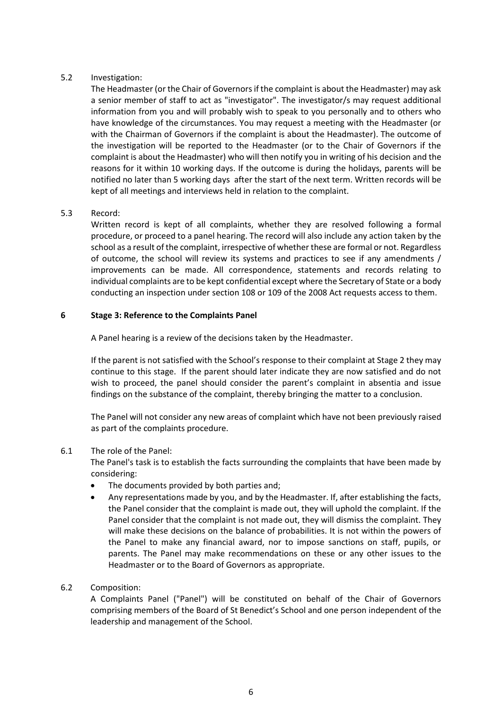# 5.2 Investigation:

The Headmaster (or the Chair of Governors if the complaint is about the Headmaster) may ask a senior member of staff to act as "investigator". The investigator/s may request additional information from you and will probably wish to speak to you personally and to others who have knowledge of the circumstances. You may request a meeting with the Headmaster (or with the Chairman of Governors if the complaint is about the Headmaster). The outcome of the investigation will be reported to the Headmaster (or to the Chair of Governors if the complaint is about the Headmaster) who will then notify you in writing of his decision and the reasons for it within 10 working days. If the outcome is during the holidays, parents will be notified no later than 5 working days after the start of the next term. Written records will be kept of all meetings and interviews held in relation to the complaint.

# 5.3 Record:

Written record is kept of all complaints, whether they are resolved following a formal procedure, or proceed to a panel hearing. The record will also include any action taken by the school as a result of the complaint, irrespective of whether these are formal or not. Regardless of outcome, the school will review its systems and practices to see if any amendments / improvements can be made. All correspondence, statements and records relating to individual complaints are to be kept confidential except where the Secretary of State or a body conducting an inspection under section 108 or 109 of the 2008 Act requests access to them.

# <span id="page-5-0"></span>**6 Stage 3: Reference to the Complaints Panel**

A Panel hearing is a review of the decisions taken by the Headmaster.

If the parent is not satisfied with the School's response to their complaint at Stage 2 they may continue to this stage. If the parent should later indicate they are now satisfied and do not wish to proceed, the panel should consider the parent's complaint in absentia and issue findings on the substance of the complaint, thereby bringing the matter to a conclusion.

The Panel will not consider any new areas of complaint which have not been previously raised as part of the complaints procedure.

# 6.1 The role of the Panel:

The Panel's task is to establish the facts surrounding the complaints that have been made by considering:

- The documents provided by both parties and;
- Any representations made by you, and by the Headmaster. If, after establishing the facts, the Panel consider that the complaint is made out, they will uphold the complaint. If the Panel consider that the complaint is not made out, they will dismiss the complaint. They will make these decisions on the balance of probabilities. It is not within the powers of the Panel to make any financial award, nor to impose sanctions on staff, pupils, or parents. The Panel may make recommendations on these or any other issues to the Headmaster or to the Board of Governors as appropriate.

# 6.2 Composition:

A Complaints Panel ("Panel") will be constituted on behalf of the Chair of Governors comprising members of the Board of St Benedict's School and one person independent of the leadership and management of the School.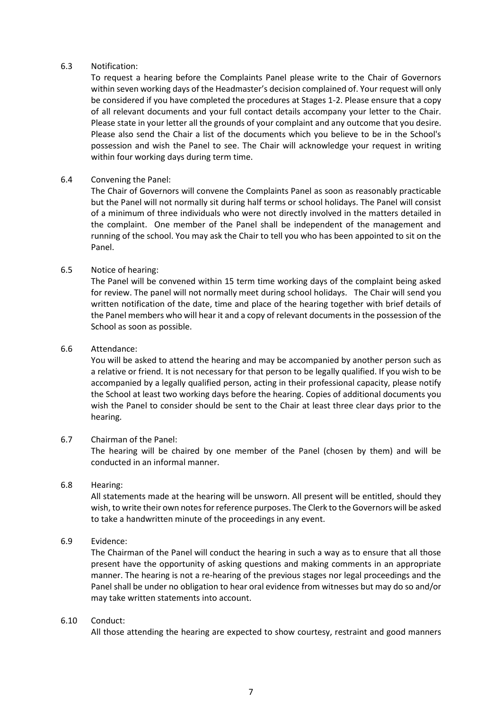# 6.3 Notification:

To request a hearing before the Complaints Panel please write to the Chair of Governors within seven working days of the Headmaster's decision complained of. Your request will only be considered if you have completed the procedures at Stages 1-2. Please ensure that a copy of all relevant documents and your full contact details accompany your letter to the Chair. Please state in your letter all the grounds of your complaint and any outcome that you desire. Please also send the Chair a list of the documents which you believe to be in the School's possession and wish the Panel to see. The Chair will acknowledge your request in writing within four working days during term time.

# 6.4 Convening the Panel:

The Chair of Governors will convene the Complaints Panel as soon as reasonably practicable but the Panel will not normally sit during half terms or school holidays. The Panel will consist of a minimum of three individuals who were not directly involved in the matters detailed in the complaint. One member of the Panel shall be independent of the management and running of the school. You may ask the Chair to tell you who has been appointed to sit on the Panel.

# 6.5 Notice of hearing:

The Panel will be convened within 15 term time working days of the complaint being asked for review. The panel will not normally meet during school holidays. The Chair will send you written notification of the date, time and place of the hearing together with brief details of the Panel members who will hear it and a copy of relevant documents in the possession of the School as soon as possible.

#### 6.6 Attendance:

You will be asked to attend the hearing and may be accompanied by another person such as a relative or friend. It is not necessary for that person to be legally qualified. If you wish to be accompanied by a legally qualified person, acting in their professional capacity, please notify the School at least two working days before the hearing. Copies of additional documents you wish the Panel to consider should be sent to the Chair at least three clear days prior to the hearing.

# 6.7 Chairman of the Panel:

The hearing will be chaired by one member of the Panel (chosen by them) and will be conducted in an informal manner.

# 6.8 Hearing:

All statements made at the hearing will be unsworn. All present will be entitled, should they wish, to write their own notes for reference purposes. The Clerk to the Governors will be asked to take a handwritten minute of the proceedings in any event.

# 6.9 Evidence:

The Chairman of the Panel will conduct the hearing in such a way as to ensure that all those present have the opportunity of asking questions and making comments in an appropriate manner. The hearing is not a re-hearing of the previous stages nor legal proceedings and the Panel shall be under no obligation to hear oral evidence from witnesses but may do so and/or may take written statements into account.

#### 6.10 Conduct:

All those attending the hearing are expected to show courtesy, restraint and good manners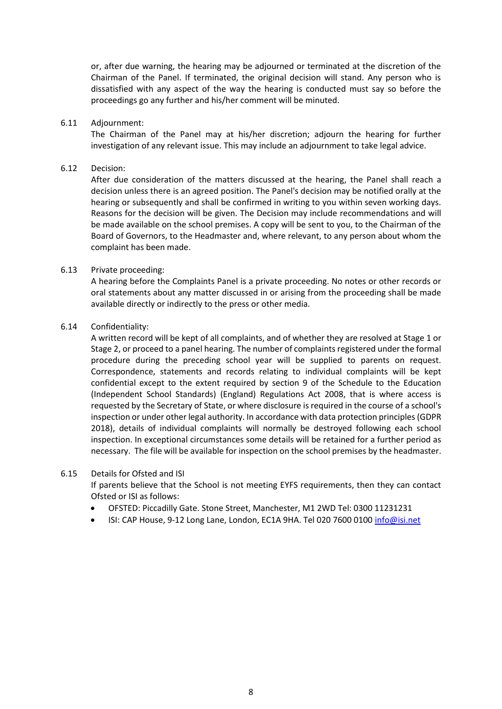or, after due warning, the hearing may be adjourned or terminated at the discretion of the Chairman of the Panel. If terminated, the original decision will stand. Any person who is dissatisfied with any aspect of the way the hearing is conducted must say so before the proceedings go any further and his/her comment will be minuted.

#### 6.11 Adjournment:

The Chairman of the Panel may at his/her discretion; adjourn the hearing for further investigation of any relevant issue. This may include an adjournment to take legal advice.

#### 6.12 Decision:

After due consideration of the matters discussed at the hearing, the Panel shall reach a decision unless there is an agreed position. The Panel's decision may be notified orally at the hearing or subsequently and shall be confirmed in writing to you within seven working days. Reasons for the decision will be given. The Decision may include recommendations and will be made available on the school premises. A copy will be sent to you, to the Chairman of the Board of Governors, to the Headmaster and, where relevant, to any person about whom the complaint has been made.

#### 6.13 Private proceeding:

A hearing before the Complaints Panel is a private proceeding. No notes or other records or oral statements about any matter discussed in or arising from the proceeding shall be made available directly or indirectly to the press or other media.

#### 6.14 Confidentiality:

A written record will be kept of all complaints, and of whether they are resolved at Stage 1 or Stage 2, or proceed to a panel hearing. The number of complaints registered under the formal procedure during the preceding school year will be supplied to parents on request. Correspondence, statements and records relating to individual complaints will be kept confidential except to the extent required by section 9 of the Schedule to the Education (Independent School Standards) (England) Regulations Act 2008, that is where access is requested by the Secretary of State, or where disclosure is required in the course of a school's inspection or under other legal authority. In accordance with data protection principles(GDPR 2018), details of individual complaints will normally be destroyed following each school inspection. In exceptional circumstances some details will be retained for a further period as necessary. The file will be available for inspection on the school premises by the headmaster.

# 6.15 Details for Ofsted and ISI

If parents believe that the School is not meeting EYFS requirements, then they can contact Ofsted or ISI as follows:

- OFSTED: Piccadilly Gate. Stone Street, Manchester, M1 2WD Tel: 0300 11231231
- ISI: CAP House, 9-12 Long Lane, London, EC1A 9HA. Tel 020 7600 0100 [info@isi.net](mailto:info@isi.net)